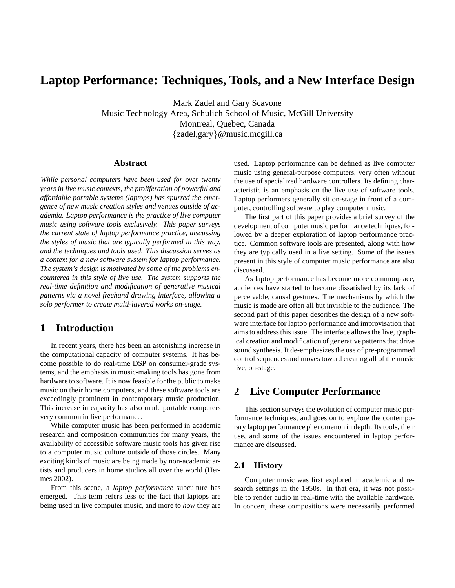# **Laptop Performance: Techniques, Tools, and a New Interface Design**

Mark Zadel and Gary Scavone Music Technology Area, Schulich School of Music, McGill University Montreal, Quebec, Canada {zadel,gary}@music.mcgill.ca

#### **Abstract**

*While personal computers have been used for over twenty years in live music contexts, the proliferation of powerful and affordable portable systems (laptops) has spurred the emergence of new music creation styles and venues outside of academia. Laptop performance is the practice of live computer music using software tools exclusively. This paper surveys the current state of laptop performance practice, discussing the styles of music that are typically performed in this way, and the techniques and tools used. This discussion serves as a context for a new software system for laptop performance. The system's design is motivated by some of the problems encountered in this style of live use. The system supports the real-time definition and modification of generative musical patterns via a novel freehand drawing interface, allowing a solo performer to create multi-layered works on-stage.*

### **1 Introduction**

In recent years, there has been an astonishing increase in the computational capacity of computer systems. It has become possible to do real-time DSP on consumer-grade systems, and the emphasis in music-making tools has gone from hardware to software. It is now feasible for the public to make music on their home computers, and these software tools are exceedingly prominent in contemporary music production. This increase in capacity has also made portable computers very common in live performance.

While computer music has been performed in academic research and composition communities for many years, the availability of accessible software music tools has given rise to a computer music culture outside of those circles. Many exciting kinds of music are being made by non-academic artists and producers in home studios all over the world (Hermes 2002).

From this scene, a *laptop performance* subculture has emerged. This term refers less to the fact that laptops are being used in live computer music, and more to *how* they are used. Laptop performance can be defined as live computer music using general-purpose computers, very often without the use of specialized hardware controllers. Its defining characteristic is an emphasis on the live use of software tools. Laptop performers generally sit on-stage in front of a computer, controlling software to play computer music.

The first part of this paper provides a brief survey of the development of computer music performance techniques, followed by a deeper exploration of laptop performance practice. Common software tools are presented, along with how they are typically used in a live setting. Some of the issues present in this style of computer music performance are also discussed.

As laptop performance has become more commonplace, audiences have started to become dissatisfied by its lack of perceivable, causal gestures. The mechanisms by which the music is made are often all but invisible to the audience. The second part of this paper describes the design of a new software interface for laptop performance and improvisation that aims to address this issue. The interface allows the live, graphical creation and modification of generative patterns that drive sound synthesis. It de-emphasizes the use of pre-programmed control sequences and moves toward creating all of the music live, on-stage.

### **2 Live Computer Performance**

This section surveys the evolution of computer music performance techniques, and goes on to explore the contemporary laptop performance phenomenon in depth. Its tools, their use, and some of the issues encountered in laptop performance are discussed.

#### **2.1 History**

Computer music was first explored in academic and research settings in the 1950s. In that era, it was not possible to render audio in real-time with the available hardware. In concert, these compositions were necessarily performed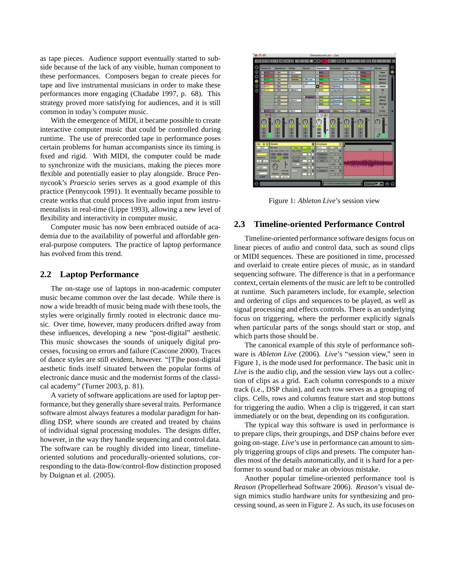as tape pieces. Audience support eventually started to subside because of the lack of any visible, human component to these performances. Composers began to create pieces for tape and live instrumental musicians in order to make these performances more engaging (Chadabe 1997, p. 68). This strategy proved more satisfying for audiences, and it is still common in today's computer music.

With the emergence of MIDI, it became possible to create interactive computer music that could be controlled during runtime. The use of prerecorded tape in performance poses certain problems for human accompanists since its timing is fixed and rigid. With MIDI, the computer could be made to synchronize with the musicians, making the pieces more flexible and potentially easier to play alongside. Bruce Pennycook's *Praescio* series serves as a good example of this practice (Pennycook 1991). It eventually became possible to create works that could process live audio input from instrumentalists in real-time (Lippe 1993), allowing a new level of flexibility and interactivity in computer music.

Computer music has now been embraced outside of academia due to the availability of powerful and affordable general-purpose computers. The practice of laptop performance has evolved from this trend.

#### **2.2 Laptop Performance**

The on-stage use of laptops in non-academic computer music became common over the last decade. While there is now a wide breadth of music being made with these tools, the styles were originally firmly rooted in electronic dance music. Over time, however, many producers drifted away from these influences, developing a new "post-digital" aesthetic. This music showcases the sounds of uniquely digital processes, focusing on errors and failure (Cascone 2000). Traces of dance styles are still evident, however. "[T]he post-digital aesthetic finds itself situated between the popular forms of electronic dance music and the modernist forms of the classical academy" (Turner 2003, p. 81).

A variety of software applications are used for laptop performance, but they generally share several traits. Performance software almost always features a modular paradigm for handling DSP, where sounds are created and treated by chains of individual signal processing modules. The designs differ, however, in the way they handle sequencing and control data. The software can be roughly divided into linear, timelineoriented solutions and procedurally-oriented solutions, corresponding to the data-flow/control-flow distinction proposed by Duignan et al. (2005).



Figure 1: *Ableton Live*'s session view

#### **2.3 Timeline-oriented Performance Control**

Timeline-oriented performance software designs focus on linear pieces of audio and control data, such as sound clips or MIDI sequences. These are positioned in time, processed and overlaid to create entire pieces of music, as in standard sequencing software. The difference is that in a performance context, certain elements of the music are left to be controlled at runtime. Such parameters include, for example, selection and ordering of clips and sequences to be played, as well as signal processing and effects controls. There is an underlying focus on triggering, where the performer explicitly signals when particular parts of the songs should start or stop, and which parts those should be.

The canonical example of this style of performance software is *Ableton Live* (2006). *Live*'s "session view," seen in Figure 1, is the mode used for performance. The basic unit in *Live* is the audio clip, and the session view lays out a collection of clips as a grid. Each column corresponds to a mixer track (i.e., DSP chain), and each row serves as a grouping of clips. Cells, rows and columns feature start and stop buttons for triggering the audio. When a clip is triggered, it can start immediately or on the beat, depending on its configuration.

The typical way this software is used in performance is to prepare clips, their groupings, and DSP chains before ever going on-stage. *Live*'s use in performance can amount to simply triggering groups of clips and presets. The computer handles most of the details automatically, and it is hard for a performer to sound bad or make an obvious mistake.

Another popular timeline-oriented performance tool is *Reason* (Propellerhead Software 2006). *Reason*'s visual design mimics studio hardware units for synthesizing and processing sound, as seen in Figure 2. As such, its use focuses on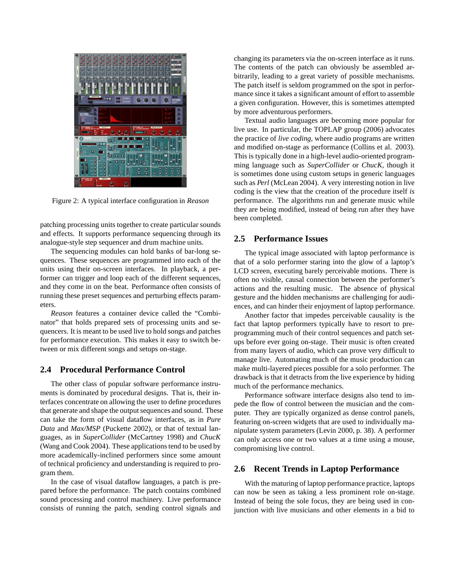

Figure 2: A typical interface configuration in *Reason*

patching processing units together to create particular sounds and effects. It supports performance sequencing through its analogue-style step sequencer and drum machine units.

The sequencing modules can hold banks of bar-long sequences. These sequences are programmed into each of the units using their on-screen interfaces. In playback, a performer can trigger and loop each of the different sequences, and they come in on the beat. Performance often consists of running these preset sequences and perturbing effects parameters.

*Reason* features a container device called the "Combinator" that holds prepared sets of processing units and sequencers. It is meant to be used live to hold songs and patches for performance execution. This makes it easy to switch between or mix different songs and setups on-stage.

#### **2.4 Procedural Performance Control**

The other class of popular software performance instruments is dominated by procedural designs. That is, their interfaces concentrate on allowing the user to define procedures that generate and shape the output sequences and sound. These can take the form of visual dataflow interfaces, as in *Pure Data* and *Max/MSP* (Puckette 2002), or that of textual languages, as in *SuperCollider* (McCartney 1998) and *ChucK* (Wang and Cook 2004). These applications tend to be used by more academically-inclined performers since some amount of technical proficiency and understanding is required to program them.

In the case of visual dataflow languages, a patch is prepared before the performance. The patch contains combined sound processing and control machinery. Live performance consists of running the patch, sending control signals and changing its parameters via the on-screen interface as it runs. The contents of the patch can obviously be assembled arbitrarily, leading to a great variety of possible mechanisms. The patch itself is seldom programmed on the spot in performance since it takes a significant amount of effort to assemble a given configuration. However, this is sometimes attempted by more adventurous performers.

Textual audio languages are becoming more popular for live use. In particular, the TOPLAP group (2006) advocates the practice of *live coding,* where audio programs are written and modified on-stage as performance (Collins et al. 2003). This is typically done in a high-level audio-oriented programming language such as *SuperCollider* or *ChucK,* though it is sometimes done using custom setups in generic languages such as *Perl* (McLean 2004). A very interesting notion in live coding is the view that the creation of the procedure itself *is* performance. The algorithms run and generate music while they are being modified, instead of being run after they have been completed.

#### **2.5 Performance Issues**

The typical image associated with laptop performance is that of a solo performer staring into the glow of a laptop's LCD screen, executing barely perceivable motions. There is often no visible, causal connection between the performer's actions and the resulting music. The absence of physical gesture and the hidden mechanisms are challenging for audiences, and can hinder their enjoyment of laptop performance.

Another factor that impedes perceivable causality is the fact that laptop performers typically have to resort to preprogramming much of their control sequences and patch setups before ever going on-stage. Their music is often created from many layers of audio, which can prove very difficult to manage live. Automating much of the music production can make multi-layered pieces possible for a solo performer. The drawback is that it detracts from the live experience by hiding much of the performance mechanics.

Performance software interface designs also tend to impede the flow of control between the musician and the computer. They are typically organized as dense control panels, featuring on-screen widgets that are used to individually manipulate system parameters (Levin 2000, p. 38). A performer can only access one or two values at a time using a mouse, compromising live control.

#### **2.6 Recent Trends in Laptop Performance**

With the maturing of laptop performance practice, laptops can now be seen as taking a less prominent role on-stage. Instead of being the sole focus, they are being used in conjunction with live musicians and other elements in a bid to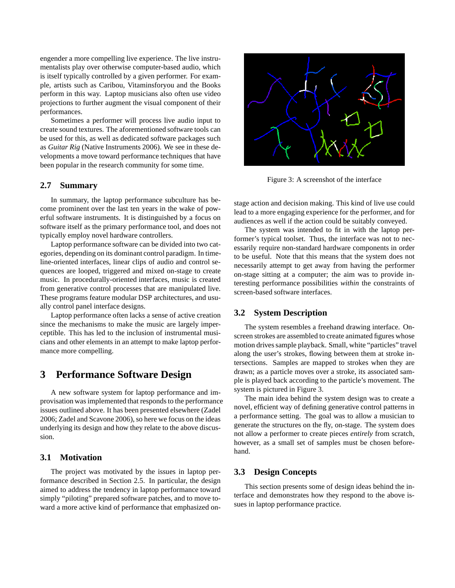engender a more compelling live experience. The live instrumentalists play over otherwise computer-based audio, which is itself typically controlled by a given performer. For example, artists such as Caribou, Vitaminsforyou and the Books perform in this way. Laptop musicians also often use video projections to further augment the visual component of their performances.

Sometimes a performer will process live audio input to create sound textures. The aforementioned software tools can be used for this, as well as dedicated software packages such as *Guitar Rig* (Native Instruments 2006). We see in these developments a move toward performance techniques that have been popular in the research community for some time.

#### **2.7 Summary**

In summary, the laptop performance subculture has become prominent over the last ten years in the wake of powerful software instruments. It is distinguished by a focus on software itself as the primary performance tool, and does not typically employ novel hardware controllers.

Laptop performance software can be divided into two categories, depending on its dominant control paradigm. In timeline-oriented interfaces, linear clips of audio and control sequences are looped, triggered and mixed on-stage to create music. In procedurally-oriented interfaces, music is created from generative control processes that are manipulated live. These programs feature modular DSP architectures, and usually control panel interface designs.

Laptop performance often lacks a sense of active creation since the mechanisms to make the music are largely imperceptible. This has led to the inclusion of instrumental musicians and other elements in an attempt to make laptop performance more compelling.

### **3 Performance Software Design**

A new software system for laptop performance and improvisation was implemented that responds to the performance issues outlined above. It has been presented elsewhere (Zadel 2006; Zadel and Scavone 2006), so here we focus on the ideas underlying its design and how they relate to the above discussion.

### **3.1 Motivation**

The project was motivated by the issues in laptop performance described in Section 2.5. In particular, the design aimed to address the tendency in laptop performance toward simply "piloting" prepared software patches, and to move toward a more active kind of performance that emphasized on-



Figure 3: A screenshot of the interface

stage action and decision making. This kind of live use could lead to a more engaging experience for the performer, and for audiences as well if the action could be suitably conveyed.

The system was intended to fit in with the laptop performer's typical toolset. Thus, the interface was not to necessarily require non-standard hardware components in order to be useful. Note that this means that the system does not necessarily attempt to get away from having the performer on-stage sitting at a computer; the aim was to provide interesting performance possibilities *within* the constraints of screen-based software interfaces.

#### **3.2 System Description**

The system resembles a freehand drawing interface. Onscreen strokes are assembled to create animated figures whose motion drives sample playback. Small, white "particles" travel along the user's strokes, flowing between them at stroke intersections. Samples are mapped to strokes when they are drawn; as a particle moves over a stroke, its associated sample is played back according to the particle's movement. The system is pictured in Figure 3.

The main idea behind the system design was to create a novel, efficient way of defining generative control patterns in a performance setting. The goal was to allow a musician to generate the structures on the fly, on-stage. The system does not allow a performer to create pieces *entirely* from scratch, however, as a small set of samples must be chosen beforehand.

#### **3.3 Design Concepts**

This section presents some of design ideas behind the interface and demonstrates how they respond to the above issues in laptop performance practice.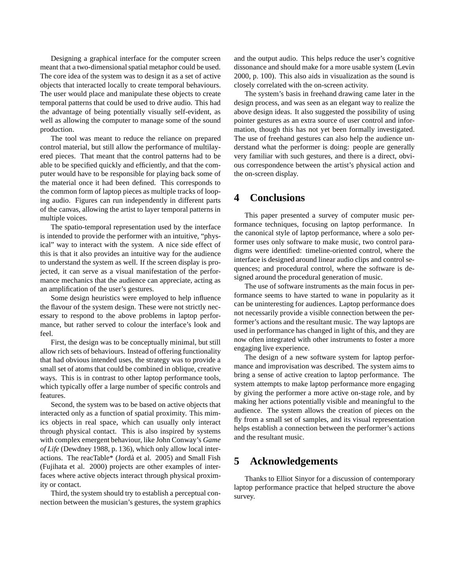Designing a graphical interface for the computer screen meant that a two-dimensional spatial metaphor could be used. The core idea of the system was to design it as a set of active objects that interacted locally to create temporal behaviours. The user would place and manipulate these objects to create temporal patterns that could be used to drive audio. This had the advantage of being potentially visually self-evident, as well as allowing the computer to manage some of the sound production.

The tool was meant to reduce the reliance on prepared control material, but still allow the performance of multilayered pieces. That meant that the control patterns had to be able to be specified quickly and efficiently, and that the computer would have to be responsible for playing back some of the material once it had been defined. This corresponds to the common form of laptop pieces as multiple tracks of looping audio. Figures can run independently in different parts of the canvas, allowing the artist to layer temporal patterns in multiple voices.

The spatio-temporal representation used by the interface is intended to provide the performer with an intuitive, "physical" way to interact with the system. A nice side effect of this is that it also provides an intuitive way for the audience to understand the system as well. If the screen display is projected, it can serve as a visual manifestation of the performance mechanics that the audience can appreciate, acting as an amplification of the user's gestures.

Some design heuristics were employed to help influence the flavour of the system design. These were not strictly necessary to respond to the above problems in laptop performance, but rather served to colour the interface's look and feel.

First, the design was to be conceptually minimal, but still allow rich sets of behaviours. Instead of offering functionality that had obvious intended uses, the strategy was to provide a small set of atoms that could be combined in oblique, creative ways. This is in contrast to other laptop performance tools, which typically offer a large number of specific controls and features.

Second, the system was to be based on active objects that interacted only as a function of spatial proximity. This mimics objects in real space, which can usually only interact through physical contact. This is also inspired by systems with complex emergent behaviour, like John Conway's *Game of Life* (Dewdney 1988, p. 136), which only allow local interactions. The reacTable\* (Jordà et al. 2005) and Small Fish (Fujihata et al. 2000) projects are other examples of interfaces where active objects interact through physical proximity or contact.

Third, the system should try to establish a perceptual connection between the musician's gestures, the system graphics and the output audio. This helps reduce the user's cognitive dissonance and should make for a more usable system (Levin 2000, p. 100). This also aids in visualization as the sound is closely correlated with the on-screen activity.

The system's basis in freehand drawing came later in the design process, and was seen as an elegant way to realize the above design ideas. It also suggested the possibility of using pointer gestures as an extra source of user control and information, though this has not yet been formally investigated. The use of freehand gestures can also help the audience understand what the performer is doing: people are generally very familiar with such gestures, and there is a direct, obvious correspondence between the artist's physical action and the on-screen display.

# **4 Conclusions**

This paper presented a survey of computer music performance techniques, focusing on laptop performance. In the canonical style of laptop performance, where a solo performer uses only software to make music, two control paradigms were identified: timeline-oriented control, where the interface is designed around linear audio clips and control sequences; and procedural control, where the software is designed around the procedural generation of music.

The use of software instruments as the main focus in performance seems to have started to wane in popularity as it can be uninteresting for audiences. Laptop performance does not necessarily provide a visible connection between the performer's actions and the resultant music. The way laptops are used in performance has changed in light of this, and they are now often integrated with other instruments to foster a more engaging live experience.

The design of a new software system for laptop performance and improvisation was described. The system aims to bring a sense of active creation to laptop performance. The system attempts to make laptop performance more engaging by giving the performer a more active on-stage role, and by making her actions potentially visible and meaningful to the audience. The system allows the creation of pieces on the fly from a small set of samples, and its visual representation helps establish a connection between the performer's actions and the resultant music.

## **5 Acknowledgements**

Thanks to Elliot Sinyor for a discussion of contemporary laptop performance practice that helped structure the above survey.